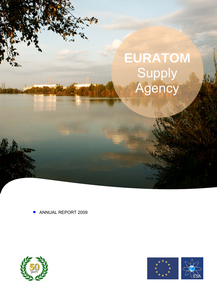# **EURATOM**  Supply **Agency**

• ANNUAL REPORT 2009



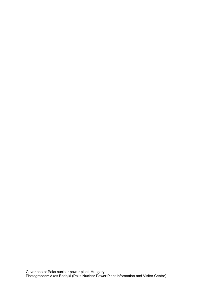Cover photo: Paks nuclear power plant, Hungary Photographer: Ákos Bodajki (Paks Nuclear Power Plant Information and Visitor Centre)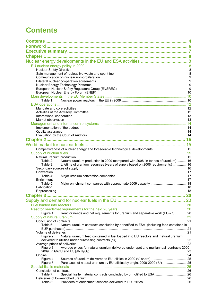# <span id="page-3-0"></span>**Contents**

| <b>Nuclear Safety Directive</b>                                                                                            | 8                     |
|----------------------------------------------------------------------------------------------------------------------------|-----------------------|
| Safe management of radioactive waste and spent fuel<br>Communication on nuclear non-proliferation                          | 8<br>$\boldsymbol{9}$ |
| Bilateral nuclear cooperation agreements                                                                                   | 9                     |
| Nuclear Energy Technology Platforms                                                                                        | 9                     |
| European Nuclear Safety Regulators Group (ENSREG)                                                                          | 9                     |
| European Nuclear Energy Forum (ENEF)                                                                                       | 10                    |
| Table 1:                                                                                                                   |                       |
|                                                                                                                            |                       |
| Mandate and core activities                                                                                                | 12                    |
| Activities of the Advisory Committee                                                                                       | 12                    |
| International cooperation<br>Market observation                                                                            | 13                    |
|                                                                                                                            | 13                    |
| Implementation of the budget                                                                                               | 14                    |
| Quality assurance                                                                                                          | 14                    |
| Evaluation by the Court of Auditors                                                                                        | 14                    |
|                                                                                                                            |                       |
|                                                                                                                            |                       |
| Competitiveness of nuclear energy and foreseeable technological developments                                               | 15                    |
|                                                                                                                            | 15                    |
| Natural uranium production<br>Natural uranium production in 2009 (compared with 2008, in tonnes of uranium) 16<br>Table 2: |                       |
| Lifetime of uranium resources (years of supply based on 2006 requirements)  16<br>Table 3:                                 |                       |
| Secondary sources of supply                                                                                                | 16                    |
| Conversion                                                                                                                 | 17                    |
| Table 4:<br>Enrichment                                                                                                     | 17                    |
| Table 5:                                                                                                                   |                       |
| Fabrication                                                                                                                | 18                    |
| Reprocessing                                                                                                               | 18                    |
|                                                                                                                            |                       |
|                                                                                                                            |                       |
|                                                                                                                            |                       |
| Reactor needs and net requirements for uranium and separative work (EU-27) 20<br>Figure 1:                                 |                       |
|                                                                                                                            |                       |
| Conclusion of contracts                                                                                                    | 21                    |
| Natural uranium contracts concluded by or notified to ESA (including feed contained in<br>Table 6:                         |                       |
|                                                                                                                            |                       |
| Volume of deliveries<br>Figure 2:<br>Natural uranium feed contained in fuel loaded into EU reactors and natural uranium    | 21                    |
|                                                                                                                            |                       |
| Average prices of deliveries                                                                                               | 22                    |
| Average prices for natural uranium delivered under spot and multiannual contracts 2000-<br>Figure 3:                       |                       |
| Origins                                                                                                                    | 24                    |
| Figure 4:                                                                                                                  |                       |
| Purchases of natural uranium by EU utilities by origin, 2000-2009 (tU) 25<br>Figure 5:                                     |                       |
|                                                                                                                            |                       |
| Conclusion of contracts<br>Special fissile material contracts concluded by or notified to ESA 26<br>Table 7:               | 26                    |
| Deliveries of low-enriched uranium                                                                                         | 26                    |
| Table 8:                                                                                                                   |                       |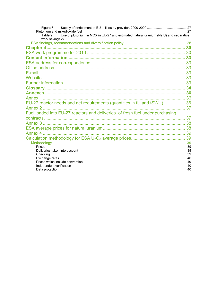| Figure 6:                                                                                                           |    |
|---------------------------------------------------------------------------------------------------------------------|----|
| Plutonium and mixed-oxide fuel                                                                                      | 27 |
| Use of plutonium in MOX in EU-27 and estimated natural uranium (NatU) and separative<br>Table 9:<br>work savings 27 |    |
|                                                                                                                     |    |
|                                                                                                                     |    |
|                                                                                                                     |    |
|                                                                                                                     |    |
|                                                                                                                     |    |
|                                                                                                                     |    |
|                                                                                                                     |    |
|                                                                                                                     |    |
|                                                                                                                     |    |
|                                                                                                                     |    |
|                                                                                                                     |    |
|                                                                                                                     |    |
| EU-27 reactor needs and net requirements (quantities in tU and tSWU)  36                                            |    |
|                                                                                                                     |    |
| Fuel loaded into EU-27 reactors and deliveries of fresh fuel under purchasing                                       |    |
|                                                                                                                     |    |
|                                                                                                                     |    |
|                                                                                                                     |    |
|                                                                                                                     |    |
|                                                                                                                     |    |
|                                                                                                                     |    |
| Prices                                                                                                              | 39 |
| Deliveries taken into account                                                                                       | 39 |
| Checking                                                                                                            | 39 |
| Exchange rates                                                                                                      | 40 |
| Prices which include conversion                                                                                     | 40 |
| Independent verification                                                                                            | 40 |
| Data protection                                                                                                     | 40 |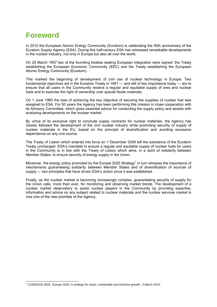# <span id="page-5-0"></span>**Foreword**

l

In 2010 the European Atomic Energy Community (Euratom) is celebrating the 50th anniversary of the Euratom Supply Agency (ESA). During this half-century ESA has witnessed remarkable developments in the nuclear industry, not only in Europe but also all over the world.

On 25 March 1957 two of the founding treaties sealing European integration were signed: the Treaty establishing the European Economic Community (EEC) and the Treaty establishing the European Atomic Energy Community (Euratom).

This marked the beginning of development of civil use of nuclear technology in Europe. Two fundamental objectives set in the Euratom Treaty in 1957 — and still of key importance today — are to ensure that all users in the Community receive a regular and equitable supply of ores and nuclear fuels and to exercise the right of ownership over special fissile materials.

On 1 June 1960 the task of achieving the key objective of securing the supplies of nuclear fuel was assigned to ESA. For 50 years the Agency has been performing this mission in close cooperation with its Advisory Committee, which gives essential advice for conducting the supply policy and assists with analysing developments on the nuclear market.

By virtue of its exclusive right to conclude supply contracts for nuclear materials, the Agency has closely followed the development of the civil nuclear industry while promoting security of supply of nuclear materials in the EU, based on the principle of diversification and avoiding excessive dependence on any one source.

The Treaty of Lisbon which entered into force on 1 December 2009 left the substance of the Euratom Treaty unchanged. ESA's mandate to ensure a regular and equitable supply of nuclear fuels for users in the Community is in line with the Treaty of Lisbon which aims, in a spirit of solidarity between Member States, to ensure security of energy supply in the Union.

Moreover, the energy policy promoted by the Europe 2020 Strategy<sup>1</sup> in turn stresses the importance of mechanisms guaranteeing solidarity between Member States and of diversification of sources of supply — two principles that have driven ESA's action since it was established.

Finally, as the nuclear market is becoming increasingly complex, guaranteeing security of supply for the Union calls, more than ever, for monitoring and observing market trends. The development of a nuclear market observatory to assist nuclear players in the Community by providing expertise, information and advice on any subject related to nuclear materials and the nuclear services market is now one of the new priorities of the Agency.

*<sup>1</sup> COM(2010) 2020, 'Europe 2020: A strategy for smart, sustainable and inclusive growth', 3 March 2010.*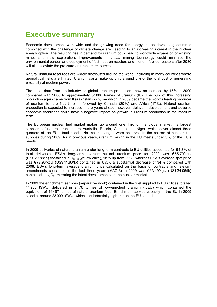# <span id="page-6-0"></span>**Executive summary**

Economic development worldwide and the growing need for energy in the developing countries combined with the challenge of climate change are leading to an increasing interest in the nuclear energy option. The resulting rise in demand for uranium could lead to worldwide expansion of existing mines and new exploration. Improvements in *in-situ* mining technology could minimise the environmental burden and deployment of fast-neutron reactors and thorium-fuelled reactors after 2030 will also alleviate the pressure on uranium resources.

Natural uranium resources are widely distributed around the world, including in many countries where geopolitical risks are limited. Uranium costs make up only around 5% of the total cost of generating electricity at nuclear power.

The latest data from the industry on global uranium production show an increase by 15% in 2009 compared with 2008 to approximately 51 000 tonnes of uranium (tU). The bulk of this increasing production again came from Kazakhstan (27%) — which in 2009 became the world's leading producer of uranium for the first time — followed by Canada (20%) and Africa (17%). Natural uranium production is expected to increase in the years ahead; however, delays in development and adverse economic conditions could have a negative impact on growth in uranium production in the medium term.

The European nuclear fuel market makes up around one third of the global market. Its largest suppliers of natural uranium are Australia, Russia, Canada and Niger, which cover almost three quarters of the EU's total needs. No major changes were observed in the pattern of nuclear fuel supplies during 2009. As in previous years, uranium mining in the EU meets under 3% of the EU's needs.

In 2009 deliveries of natural uranium under long-term contracts to EU utilities accounted for 94.8% of total deliveries. ESA's long-term average natural uranium price for 2009 was €55.70/kgU (US\$ 29.88/lb) contained in  $U_3O_8$  (yellow cake), 18% up from 2008, whereas ESA's average spot price was  $\epsilon$ 77.96/kgU (US\$41.83/lb) contained in U<sub>3</sub>O<sub>8</sub>, a substantial decrease of 34% compared with 2008. ESA's long-term average uranium price calculated on the basis of contracts and relevant amendments concluded in the last three years (MAC-3) in 2009 was € 63.49/kgU (US\$34.06/lb) contained in  $U_3O_8$ , mirroring the latest developments on the nuclear market.

In 2009 the enrichment services (separative work) contained in the fuel supplied to EU utilities totalled 11905 tSWU, delivered in 2 176 tonnes of low-enriched uranium (tLEU) which contained the equivalent of 16497 tonnes of natural uranium feed. Enrichment service capacity in the EU in 2009 stood at around 23 000 tSWU, which is substantially higher than the EU's needs.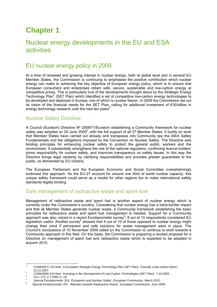# <span id="page-7-1"></span><span id="page-7-0"></span>**Chapter 1**

# Nuclear energy developments in the EU and ESA activities

### <span id="page-7-2"></span>EU nuclear energy policy in 2009

At a time of renewed and growing interest in nuclear energy, both at global level and in several EU Member States, the Commission is continuing to emphasise the positive contribution which nuclear energy can make to achieving the key objective of European energy policy, which is to ensure that European consumers and enterprises obtain safe, secure, sustainable and low-carbon energy at competitive prices. This is particularly true of the developments brought about by the Strategic Energy Technology Plan<sup>2</sup> (SET Plan) which identified a set of competitive low-carbon energy technologies to be developed and deployed in Europe, one of which is nuclear fission. In 2009 the Commission set out its vision of the financial needs for the SET Plan, calling for additional investment of €50billion in energy technology research over the next ten years<sup>3</sup>.

### <span id="page-7-3"></span>Nuclear Safety Directive

A Council (Euratom) Directive Nº 2009/71/Euratom establishing a Community framework for nuclear safety was adopted on 25 June 2009<sup>4</sup>, with the full support of all 27 Member States. It builds on work that Member States have carried out already and transposes into Community law the IAEA Safety Fundamentals and the obligations imposed by the Convention on Nuclear Safety. The Directive sets binding principles for enhancing nuclear safety to protect the general public, workers and the environment. It substantially strengthens the role of the national regulators, confirming licence-holders' prime responsibility for nuclear safety, and improves transparency on safety issues. In this way the Directive brings legal certainty by clarifying responsibilities and provides greater guarantees to the public, as demanded by EU citizens.

The European Parliament and the European Economic and Social Committee overwhelmingly endorsed this approach. As the EU-27 account for around one third of world nuclear capacity, this unique safety framework could serve as a model for other regions too to make international safety standards legally binding.

#### <span id="page-7-4"></span>Safe management of radioactive waste and spent fuel

Management of radioactive waste and spent fuel is another aspect of nuclear energy which is currently under the Commission's scrutiny. Considering that nuclear energy has a trans-border impact and that all Member States generate nuclear waste, a Community framework establishing the basic principles for radioactive waste and spent fuel management is needed. Support for a Community approach was also voiced in a recent Eurobarometer survey<sup>5</sup>: 8 out of 10 respondents considered EU legislation useful. Another survey<sup>6</sup> showed that 4 out of 10 of those opposed to nuclear energy might change their mind if permanent and safe solutions for waste management were in place. The Council's conclusions of 10 November 2009 called on the Commission to continue to work towards a Community approach in this field. On this basis, the Commission is preparing a revised proposal for a Directive on management of spent fuel and radioactive waste which is expected to be adopted in autumn 2010.

 $\overline{z}$ *2 COM(2007) 723 final, 'A European Strategic Energy Technology Plan (SET Plan): Towards a low-carbon future',* 

*<sup>22.11.2007.</sup> 3 COM(2009) 519 final, 'Investing in the Development of Low-Carbon Technologies (SET Plan)', 7.10.2009. 4*

*OJ L 172, 2.7.2009, p. 18.* 

*<sup>5</sup> Special Eurobarometer 324, 'Europeans and Nuclear Safety', European Commission, March 2010*.

*<sup>6</sup> Special Eurobarometer 297, 'Attitudes towards Radioactive Waste*'*, European Commission, June 2008.*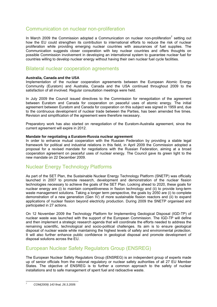### <span id="page-8-0"></span>Communication on nuclear non-proliferation

In March 2009 the Commission adopted a Communication on nuclear non-proliferation<sup>7</sup> setting out how the EU could strengthen its contribution to international efforts to reduce the risk of nuclear proliferation while providing emerging nuclear countries with assurances of fuel supplies. The Communication suggests closer cooperation with key nuclear countries and offers thoughts on possible Commission involvement in developing an international system to guarantee nuclear fuel for countries willing to develop nuclear energy without having their own nuclear fuel cycle facilities.

### <span id="page-8-1"></span>Bilateral nuclear cooperation agreements

#### **Australia, Canada and the USA**

Implementation of the nuclear cooperation agreements between the European Atomic Energy Community (Euratom) and Australia, Canada and the USA continued throughout 2009 to the satisfaction of all involved. Regular consultation meetings were held.

In July 2009 the Council issued directives to the Commission for renegotiation of the agreement between Euratom and Canada for cooperation on peaceful uses of atomic energy. The initial agreement between Euratom and Canada for cooperation on this subject was signed in 1959 and, due to the continuous development of nuclear trade between the Parties, has been amended five times. Revision and simplification of the agreement were therefore necessary.

Preparatory work has also started on renegotiation of the Euratom-Australia agreement, since the current agreement will expire in 2012.

#### **Mandate for negotiating a Euratom-Russia nuclear agreement**

In order to enhance mutual cooperation with the Russian Federation by providing a stable legal framework for political and industrial relations in this field, in April 2009 the Commission adopted a proposal for a revised mandate for negotiations with the Russian Federation, aiming at a broad cooperation agreement on peaceful uses of nuclear energy. The Council gave its green light to the new mandate on 22 December 2009.

### <span id="page-8-2"></span>Nuclear Energy Technology Platforms

As part of the SET Plan, the Sustainable Nuclear Energy Technology Platform (SNETP) was officially launched in 2007 to promote research, development and demonstration of the nuclear fission technologies necessary to achieve the goals of the SET Plan. Looking ahead to 2020, these goals for nuclear energy are (i) to maintain competitiveness in fission technology and (ii) to provide long-term waste management solutions. Taking a longer term perspective, the goals by 2050 are (i) to complete demonstration of a new generation (Gen IV) of more sustainable fission reactors and (ii) to expand applications of nuclear fission beyond electricity production. During 2009 the SNETP organised and participated in 27 actions.

On 12 November 2009 the Technology Platform for Implementing Geological Disposal (IGD-TP) of nuclear waste was launched with the support of the European Commission. The IGD-TP will define and then implement a strategic research agenda that will coordinate the efforts needed to address the remaining scientific, technological and socio-political challenges. Its aim is to ensure geological disposal of nuclear waste while maintaining the highest levels of safety and environmental protection. It will also further enhance public confidence in geological disposal and promote development of disposal solutions across the EU.

### <span id="page-8-3"></span>European Nuclear Safety Regulators Group (ENSREG)

The European Nuclear Safety Regulators Group (ENSREG) is an independent group of experts made up of senior officials from the national regulatory or nuclear safety authorities of all 27 EU Member States. The objective of ENSREG is to further a common approach to the safety of nuclear installations and to safe management of spent fuel and radioactive waste.

l *7 COM(2009) 143 final, 26.3.2009..*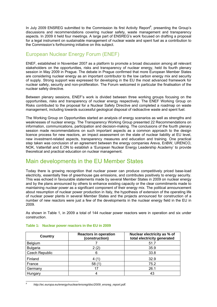In July 2009 ENSREG submitted to the Commission its first Activity Report<sup>8</sup>, presenting the Group's discussions and recommendations covering nuclear safety, waste management and transparency aspects. In 2009 it held four meetings. A large part of ENSREG's work focused on drafting a proposal for a legal instrument on sustainable management of nuclear waste and spent fuel as a contribution to the Commission's forthcoming initiative on this subject.

### <span id="page-9-0"></span>European Nuclear Energy Forum (ENEF)

ENEF, established in November 2007 as a platform to promote a broad discussion among all relevant stakeholders on the opportunities, risks and transparency of nuclear energy, held its fourth plenary session in May 2009 in Prague. The debate in Prague confirmed that more European Member States are considering nuclear energy as an important contributor to the low carbon energy mix and security of supply. Strong support was expressed for developing in the EU the most advanced framework for nuclear safety, security and non-proliferation. The Forum welcomed in particular the finalisation of the nuclear safety directive.

Between plenary sessions, ENEF's work is divided between three working groups focusing on the opportunities, risks and transparency of nuclear energy respectively. The ENEF Working Group on Risks contributed to the proposal for a Nuclear Safety Directive and completed a roadmap on waste management, including towards successful geological disposal of radioactive waste and spent fuel.

The Working Group on Opportunities started an analysis of energy scenarios as well as strengths and weaknesses of nuclear energy. The Transparency Working Group presented 22 Recommendations on information, communications, participation and decision-making. The conclusions of the fourth plenary session made recommendations on such important aspects as a common approach to the design licence process for new reactors, an impact assessment on the state of nuclear liability at EU level, new investment-related aspects, transparency measures and education and training. One practical step taken was conclusion of an agreement between the energy companies Areva, EnBW, URENCO, NOK, Vattenfall and E.ON to establish a 'European Nuclear Energy Leadership Academy' to provide theoretical and practical education on nuclear management.

### <span id="page-9-1"></span>Main developments in the EU Member States

Today there is growing recognition that nuclear power can produce competitively priced base-load electricity, essentially free of greenhouse gas emissions, and contributes positively to energy security. This was echoed in favourable statements made by several Member States in 2009 on nuclear energy and by the plans announced by others to enhance existing capacity or the clear commitments made to maintaining nuclear power as a significant component of their energy mix. The political announcement about resumption of nuclear power production in Italy, the hypothesis of extension of the operating life of nuclear power plants in several Member States and the projects announced for construction of a number of new reactors were just a few of the developments in the nuclear energy field in the EU in 2009.

As shown in Table 1, in 2009 a total of 144 nuclear power reactors were in operation and six under construction.

| Country               | <b>Reactors in operation</b><br>(construction) | Nuclear electricity as % of<br>total electricity generated |
|-----------------------|------------------------------------------------|------------------------------------------------------------|
| Belgium               |                                                | 51.7                                                       |
| <b>Bulgaria</b>       | 2 (2)                                          | 35.9                                                       |
| <b>Czech Republic</b> | 6                                              | 33.8                                                       |
| Finland               |                                                | 32.9                                                       |
| France                | 58(1)                                          | 75.2                                                       |
| Germany               | 17                                             | 26.1                                                       |
| Hungary               |                                                | 43                                                         |

#### <span id="page-9-2"></span>**Table 1: Nuclear power reactors in the EU in 2009**

l

*[<sup>8</sup> http://ec.europa.eu/energy/nuclear/ensreg/doc/2009\\_ensreg\\_report.pdf.](http://ec.europa.eu/energy/nuclear/ensreg/doc/2009_ensreg_report.pdf)*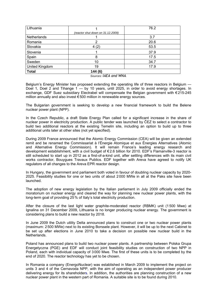| Lithuania      |                                   | 76.2 |
|----------------|-----------------------------------|------|
|                | (reactor shut down on 31.12.2009) |      |
| Netherlands    |                                   | 3.7  |
| Romania        | 2                                 | 20.6 |
| Slovakia       | 4(2)                              | 53.5 |
| Slovenia       |                                   | 37.9 |
| Spain          | 8                                 | 17.5 |
| Sweden         | 10                                | 34.7 |
| United Kingdom | 19                                | 17.9 |
| <b>Total</b>   | 144 (6)                           |      |

*Sources: IAEA and WNA.* 

Belgium's Energy Minister has proposed extending the operating life of three reactors in Belgium — Doel 1, Doel 2 and Tihange 1 — by 10 years, until 2025, in order to avoid energy shortages. In exchange, GDF Suez subsidiary Electrabel will compensate the Belgian government with €215-245 million annually and also invest € 500 million in renewable energy sources.

The Bulgarian government is seeking to develop a new financial framework to build the Belene nuclear power plant (NPP).

In the Czech Republic, a draft State Energy Plan called for a significant increase in the share of nuclear power in electricity production. A public tender was launched by ČEZ to select a contractor to build two additional reactors at the existing Temelin site, including an option to build up to three additional units later at other sites (not yet specified).

During 2009 France announced that the Atomic Energy Commission (CEA) will be given an extended remit and be renamed the Commissariat à l'Énergie Atomique et aux Énergies Alternatives (Atomic and Alternative Energy Commission). It will remain France's leading energy research and development establishment, with a civil budget of € 2.6 billion for 2010. EDF's Flamanville-3 reactor is still scheduled to start up in 2012 as a first-of-a-kind unit, after settling differences with its main civil works contractor, Bouygues Travaux Publics. EDF together with Areva have agreed to notify UK regulators of all changes to the Areva EPR reactor design.

In Hungary, the government and parliament both voted in favour of doubling nuclear capacity by 2020- 2025. Feasibility studies for one or two units of about 2 000 MWe in all at the Paks site have been launched.

The adoption of new energy legislation by the Italian parliament in July 2009 officially ended the moratorium on nuclear energy and cleared the way for planning new nuclear power plants, with the long-term goal of providing 25% of Italy's total electricity production.

After the closure of the last light water graphite-moderated reactor (RBMK) unit (1 500 Mwe) at Ignalina on 31 December 2009, Lithuania is no longer producing nuclear energy. The government is considering plans to build a new reactor by 2018.

In June 2009 the Dutch utility Delta announced plans to construct one or two nuclear power plants (maximum: 2500 MWe) next to its existing Borssele plant. However, it will be up to the next Cabinet to be set up after elections in June 2010 to take a decision on possible new nuclear build in the Netherlands.

Poland has announced plans to build two nuclear power plants. A partnership between Polska Grupa Energetyczna (PGE) and EDF will conduct joint feasibility studies on construction of two NPP in Poland, each with individual capacity of 3 000 Mwe. The first of these units is to be completed by the end of 2020. The reactor technology has yet to be chosen.

In Romania a company (EnergoNuclear) was established in March 2009 to implement the project on units 3 and 4 of the Cernavoda NPP, with the aim of operating as an independent power producer delivering energy for its shareholders. In addition, the authorities are planning construction of a new nuclear power plant in the western part of Romania. A suitable site is to be found during 2010.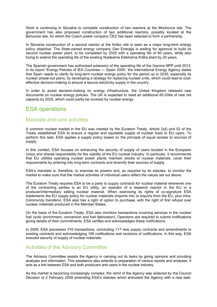Work is continuing in Slovakia to complete construction of two reactors at the Mochovce site. The government has also proposed construction of two additional reactors, possibly located at the Bohunice site, for which the Czech power company ČEZ has been selected to form a partnership.

In Slovenia construction of a second reactor at the Krško site is seen as a major long-term energy policy objective. The State-owned energy company Gen Energija is waiting for approval to build its second nuclear power plant, to be completed by 2020 with a operating life of 60 years, while also trying to extend the operating life of the existing Nuklearna Elektrarna Krško plant by 20 years.

The Spanish government has authorised extension of the operating life of the Garona NPP until 2013. In its report 'Energy Policies of IEA Countries — Spain 2009,' the International Energy Agency states that Spain needs to clarify its long-term nuclear energy policy for the period up to 2030, especially its nuclear phase-out plans, by developing a strategy for replacing nuclear units, which could lead to costeffective decision-making to ensure a secure electricity supply in the country.

In order to assist decision-making on energy infrastructure, the United Kingdom released new documents on nuclear energy policies. The UK is expected to need an additional 60 GWe of new net capacity by 2025, which could partly be covered by nuclear energy.

### <span id="page-11-1"></span><span id="page-11-0"></span>ESA operations

#### Mandate and core activities

A common nuclear market in the EU was created by the Euratom Treaty. Article 2(d) and 52 of the Treaty established ESA to ensure a regular and equitable supply of nuclear fuels to EU users. To perform this task, ESA applies a supply policy based on the principle of equal access to sources of supply.

In this context, ESA focuses on enhancing the security of supply of users located in the European Union and shares responsibility for the viability of the EU nuclear industry. In particular, it recommends that EU utilities operating nuclear power plants maintain stocks of nuclear materials, cover their requirements by entering into long-term contracts and diversify their sources of supply.

ESA's mandate is, therefore, to exercise its powers and, as required by its statutes, to monitor the market to make sure that the market activities of individual users reflect the values set out above.

The Euratom Treaty requires ESA to be a party to supply contracts for nuclear material whenever one of the contracting parties is an EU utility, an operator of a research reactor in the EU or a producer/intermediary selling nuclear material. When exercising its rights of co-signature ESA implements the EU supply policy for nuclear materials (imports into or exports from the EU, plus intra-Community transfers). ESA also has a right of option to purchase, with the right of first refusal over nuclear materials produced in the Member States.

On the basis of the Euratom Treaty, ESA also monitors transactions involving services in the nuclear fuel cycle (enrichment, conversion and fuel fabrication). Operators are required to submit notifications giving details of their commitments. ESA verifies and acknowledges these notifications.

In 2009, ESA processed 316 transactions, concluding 117 new supply contracts and amendments to existing contracts and acknowledging 199 notifications and revisions of notifications. In this way, ESA ensured security of supply of nuclear materials.

### <span id="page-11-2"></span>Activities of the Advisory Committee

The Advisory Committee assists the Agency in carrying out its tasks by giving opinions and providing analyses and information. This assistance also extends to preparation of various reports and analyses. It acts as a link between ESA and both producers and users in the nuclear industry.

As the market is becoming increasingly complex, the remit of the Agency was widened by the Council Decision of 2 February 2008 amending ESA's statutes which entrusted the Agency with a new task: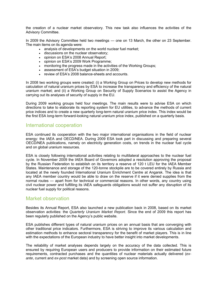the creation of a nuclear market observatory. This new task also influences the activities of the Advisory Committee.

In 2009 the Advisory Committee held two meetings — one on 13 March, the other on 23 September. The main items on its agenda were:

- analysis of developments on the world nuclear fuel market;
- discussions on the nuclear observatory;
- opinion on ESA's 2008 Annual Report;
- opinion on ESA's 2009 Work Programme;
- monitoring the progress made in the activities of the Working Groups;
- assessment of ESA's budget situation in 2009;
- review of ESA's 2008 balance-sheets and accounts.

In 2008 two working groups were created: (i) a Working Group on Prices to develop new methods for calculation of natural uranium prices by ESA to increase the transparency and efficiency of the natural uranium market; and (ii) a Working Group on Security of Supply Scenarios to assist the Agency in carrying out its analyses of security of supply in the EU.

During 2009 working groups held four meetings. The main results were to advise ESA on which directions to take to elaborate its reporting system for EU utilities, to advance the methods of current price indices and to create a new quarterly long-term natural uranium price index. This index would be the first ESA long-term forward-looking natural uranium price index, published on a quarterly basis.

#### <span id="page-12-0"></span>International cooperation

ESA continued its cooperation with the two major international organisations in the field of nuclear energy: the IAEA and OECD/NEA. During 2009 ESA took part in discussing and preparing several OECD/NEA publications, namely on electricity generation costs, on trends in the nuclear fuel cycle and on global uranium resources.

ESA is closely following international activities relating to multilateral approaches to the nuclear fuel cycle. In November 2009 the IAEA Board of Governors adopted a resolution approving the proposal by the Russian Federation to establish on its territory a reserve of 120 t LEU for the IAEA Member States. Maintenance and storage of the 120-tonne stockpile are to be covered entirely by Russia and located at the newly founded International Uranium Enrichment Centre at Angarsk. The idea is that any IAEA member country would be able to draw on the reserve if it were denied supplies from the normal routes — apart from for technical or commercial reasons. In other words, any country using civil nuclear power and fulfilling its IAEA safeguards obligations would not suffer any disruption of its nuclear fuel supply for political reasons.

#### <span id="page-12-1"></span>Market observation

Besides its Annual Report, ESA also launched a new publication back in 2008, based on its market observation activities: the *Quarterly Uranium Market Report*. Since the end of 2009 this report has been regularly published on the Agency's public website.

ESA publishes different types of natural uranium prices on an annual basis that are converging with other traditional price indicators. Furthermore, ESA is striving to improve its various calculation and estimation methods to enhance sectoral transparency for the benefit of market players. This is in line with the expectations of the European industry to have better insight into market developments.

The reliability of market analyses depends largely on the accuracy of the data collected. This is ensured by requiring European users and producers to provide information on their estimated future requirements, contracted purchases and the quantities of nuclear materials actually delivered (*exante*, current and *ex-post* market data) and by screening open source information.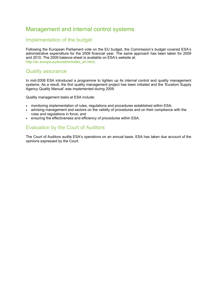### <span id="page-13-1"></span><span id="page-13-0"></span>Management and internal control systems

### Implementation of the budget

Following the European Parliament vote on the EU budget, the Commission's budget covered ESA's administrative expenditure for the 2008 financial year. The same approach has been taken for 2009 and 2010. The 2009 balance-sheet is available on ESA's website at: [http://ec.europa.eu/euratom/index\\_en.html.](http://ec.europa.eu/euratom/index_en.html) 

#### <span id="page-13-2"></span>Quality assurance

In mid-2008 ESA introduced a programme to tighten up its internal control and quality management systems. As a result, the first quality management project has been initiated and the 'Euratom Supply Agency Quality Manual' was implemented during 2009.

Quality management tasks at ESA include:

- monitoring implementation of rules, regulations and procedures established within ESA;
- advising management and sectors on the validity of procedures and on their compliance with the rules and regulations in force; and
- <span id="page-13-3"></span>• ensuring the effectiveness and efficiency of procedures within ESA.

### Evaluation by the Court of Auditors

The Court of Auditors audits ESA's operations on an annual basis. ESA has taken due account of the opinions expressed by the Court.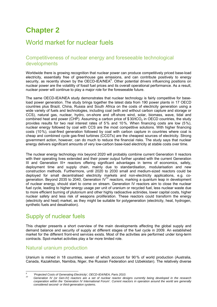# <span id="page-14-0"></span>**Chapter 2**

# <span id="page-14-1"></span>World market for nuclear fuels

### <span id="page-14-2"></span>Competitiveness of nuclear energy and foreseeable technological developments

Worldwide there is growing recognition that nuclear power can produce competitively priced base-load electricity, essentially free of greenhouse gas emissions, and can contribute positively to energy security, as recently shown by the OECD-IEA/NEA<sup>9</sup>. Other potential drivers influencing positions on nuclear power are the volatility of fossil fuel prices and its overall operational performance. As a result, nuclear power will continue to play a major role for the foreseeable future.

The same OECD-IEA/NEA study demonstrates that nuclear technology is fairly competitive for baseload power generation. The study brings together the latest data from 190 power plants in 17 OECD countries plus Brazil, China, Russia and South Africa on the costs of electricity generation using a wide variety of fuels and technologies, including coal (with and without carbon capture and storage or CCS), natural gas, nuclear, hydro, on-shore and off-shore wind, solar, biomass, wave, tidal and combined heat and power (CHP). Assuming a carbon price of  $$30/tCO<sub>2</sub>$  in OECD countries, the study provides results for two real interest rates of 5% and 10%. When financing costs are low (5%), nuclear energy followed by coal with CCS are the most competitive solutions. With higher financing costs (10%), coal-fired generation followed by coal with carbon capture in countries where coal is cheap and combined cycle gas-fired turbines (CCGTs) are the cheapest sources of electricity. Strong government action, however, can do much to reduce the financial risks. The study says that nuclear energy delivers significant amounts of very low-carbon base-load electricity at stable costs over time.

The nuclear energy technology mix beyond 2020 will probably combine current Generation II reactors with their operating lives extended and their power output further uprated with the current Generation III and Generation III+ reactors offering significant advantages in terms of economics, safety, deployment time and supply chain, mainly due to standardisation, modularisation and new construction methods. Furthermore, until 2020 to 2030 small and medium-sized reactors could be deployed for small decentralised electricity markets and non-electricity applications, e.g. cogeneration. Beyond 2035 to 2040, Generation  $IV^{10}$  reactors, marking a quantum leap in development of nuclear energy, should start to come on stream. Generation IV reactors aim to close the nuclear fuel cycle, leading to higher energy usage per unit of uranium or recycled fuel, less nuclear waste due to more efficient burning of plutonium and other highly radioactive actinides, lower capital costs, higher nuclear safety and less risk of weapons proliferation. These reactors could transform the energy (electricity and heat) market, as they might be suitable for polygeneration (electricity, heat, hydrogen, synthetic fuels and desalination).

# <span id="page-14-3"></span>Supply of nuclear fuels

This chapter presents a short overview of the main developments affecting the global supply and demand balance and security of supply at different stages of the fuel cycle in 2009. An established market for the different front-end services exists. Most of the activities are performed under long-term contracts. Spot-market activities play a far more limited role.

### <span id="page-14-4"></span>Natural uranium production

Uranium is mined in 18 countries, seven of which account for 90% of world production (Australia, Canada, Kazakhstan, Namibia, Niger, the Russian Federation and Uzbekistan). The relatively diverse

 *9* <sup>9</sup> *'Projected Costs of Generating Electricity', OECD-IEA/NEA, Paris 2010.* 

*<sup>10</sup> Generation IV (or Gen-IV) reactors are a set of nuclear reactor designs currently being developed in the research cooperation within the 'Generation IV International Forum'. Current reactors in operation around the world are generally considered second- or third-generation systems.*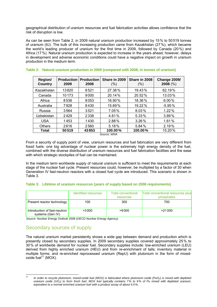geographical distribution of uranium resources and fuel fabrication activities allows confidence that the risk of disruption is low.

As can be seen from Table 2, in 2009 natural uranium production increased by 15% to 50519 tonnes of uranium (tU). The bulk of this increasing production came from Kazakhstan (27%), which became the world's leading producer of uranium for the first time in 2009, followed by Canada (20%) and Africa (17%). Natural uranium production is expected to increase in the years ahead; however, delays in development and adverse economic conditions could have a negative impact on growth in uranium production in the medium term.

| Region/<br><b>Country</b> | <b>Production</b><br>2009 | <b>Production</b><br>2008 | Share in 2009<br>$(\% )$ | Share in 2008<br>$(\% )$ | <b>Change 2009/</b><br>$2008$ (%) |
|---------------------------|---------------------------|---------------------------|--------------------------|--------------------------|-----------------------------------|
| Kazakhstan                | 13820                     | 8521                      | 27.36%                   | 19.43%                   | 62.19%                            |
| Canada                    | 10173                     | 9000                      | 20.14%                   | 20.52%                   | 13.03%                            |
| Africa                    | 8536                      | 8053                      | 16.90%                   | 18.36%                   | 6.00%                             |
| Australia                 | 7928                      | 8430                      | 15.69%                   | 19.22%                   | $-5.95\%$                         |
| Russia                    | 3564                      | 3521                      | 7.05%                    | 8.03%                    | 1.22%                             |
| Uzbekistan                | 2429                      | 2338                      | 4.81%                    | 5.33%                    | 3.89%                             |
| <b>USA</b>                | 1453                      | 1430                      | 2.88%                    | 3.26%                    | 1.61%                             |
| <b>Others</b>             | 2616                      | 2560                      | 5.18%                    | 5.84%                    | 2.19%                             |
| Total                     | 50519                     | 43853                     | 100.00%                  | 100.00%                  | 15.20%                            |

<span id="page-15-0"></span>

|  |  | Table 2: Natural uranium production in 2009 (compared with 2008, in tonnes of uranium) |  |
|--|--|----------------------------------------------------------------------------------------|--|
|  |  |                                                                                        |  |

*Source: WNA* 

From a security of supply point of view, uranium resources and fuel fabrication are very different from fossil fuels: one big advantage of nuclear power is the extremely high energy density of the fuel, combined with the diverse distribution of uranium resources and fuel fabrication facilities and the ease with which strategic stockpiles of fuel can be maintained.

In the medium term worldwide supply of natural uranium is sufficient to meet the requirements at each stage of the nuclear fuel cycle. Present resources could, however, be multiplied by a factor of 30 when Generation IV fast-neutron reactors with a closed fuel cycle are introduced. This scenario is shown in Table 3.

#### <span id="page-15-1"></span>**Table 3: Lifetime of uranium resources (years of supply based on 2006 requirements)**

|                                                  | Identified resources | Total conventional<br>resources | Total conventional resources plus<br>phosphates |
|--------------------------------------------------|----------------------|---------------------------------|-------------------------------------------------|
| Present reactor technology                       | 100                  | 300                             | 700                                             |
| Introduction of fast-neutron<br>systems (Gen IV) | >3000                | >9000                           | >21000                                          |

<span id="page-15-2"></span>*Source: Nuclear Energy Outlook 2008 (OECD Nuclear Energy Agency).* 

### Secondary sources of supply

The natural uranium market persistently shows a wide gap between demand and production which is presently closed by secondary supplies. In 2009 secondary supplies covered approximately 25% to 30% of worldwide demand for nuclear fuel. Secondary supplies include: low-enriched uranium (LEU) derived from highly enriched uranium (HEU) and from re-enrichment of tails; inventory material in multiple forms; and re-enriched reprocessed uranium (RepU) with plutonium in the form of mixed $o$ xide fuel<sup>11</sup> (MOX).

 $\overline{11}$ *In order to recycle plutonium, mixed-oxide fuel (MOX) is fabricated where plutonium oxide (PuO<sub>2</sub>) is mixed with depleted uranium oxide (UO2) to form fresh fuel. MOX fuel typically contains 7% to 9% of Pu mixed with depleted uranium, equivalent to a normal enriched uranium fuel with a product assay of about 4.5%.*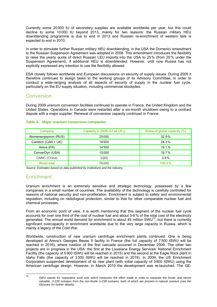Currently some 20000 tU of secondary supplies are available worldwide per year, but this could decline to some 10 000 tU beyond 2013, mainly for two reasons: the Russian military HEU downblending programme is due to end in 2013 and Russian re-enrichment of western tails is expected to end in 2010.

In order to stimulate further Russian military HEU downblending, in the USA the Domenici amendment to the Russian Suspension Agreement was adopted in 2008. This amendment introduces the flexibility to raise the yearly quota of direct Russian LEU imports into the USA to 25% (from 20% under the Suspension Agreement), if additional HEU is downblended. However, until now Russia has not explicitly expressed any intention to use the flexibility allowed.

ESA closely follows worldwide and European discussions on security of supply issues. During 2009 it therefore continued to assign tasks to the working groups of its Advisory Committee, in order to conduct a wide-ranging analysis of all aspects of security of supply in the nuclear fuel cycle, particularly on the EU supply situation, including commercial stockpiles.

#### <span id="page-16-0"></span>Conversion

During 2009 uranium conversion facilities continued to operate in France, the United Kingdom and the United States. Operations in Canada were restarted after a six-month shutdown owing to a contract dispute with a major supplier. Renewal of conversion capacity continued in France.

| Company              | Capacity in 2009 (tU as $UF_6$ ) | Share of global capacity (%) |
|----------------------|----------------------------------|------------------------------|
| Atomenergoprom (RUS) | 25000                            | 32.9%                        |
| Cameco (CAN + UK)    | 18500                            | 24.3%                        |
| Areva (FR)           | 14500                            | 19.1%                        |
| ConverDyn (USA)      | 15000                            | $19.7\%$                     |
| CNNC (China)         | 3000                             | $3.9\%$                      |
| World total          | 76000                            | $100.0\%$                    |

#### <span id="page-16-1"></span>**Table 4: Major uranium conversion companies**

<span id="page-16-2"></span>*Source: Estimates based on data published by institutions and the industry.* 

### **Enrichment**

 $12$ 

Uranium enrichment is an extremely sensitive and strategic technology, possessed by a few companies in a small number of countries. The availability of the technology is carefully controlled for reasons of national security and non-proliferation. Enrichment is subject to safety and environmental regulation, including on radiological protection, similar to that for other comparable nuclear fuel and chemical processes.

From an economic point of view, it is worth mentioning that this segment of the nuclear fuel cycle accounts for over one third of the cost of nuclear fuel and about 5-6% of the total cost of the electricity generated. The annual world demand for enrichment is about 45 million SWU $^{12}$ , but there is currently significant overcapacity in enrichment worldwide due to the very large capacity in Russia, which is mainly a legacy of the Cold War.

Worldwide, construction of new uranium centrifuge enrichment plants continued. One is being developed at Areva's Georges Besse II facility in France (the full capacity of 7500 tSWU will be reached in 2016), where rotation of the first cascade occurred in December 2009. The other two projects are in progress in the USA: the first at the Louisiana Energy Services' National Enrichment Facility (the capacity of 5900 tSWU will be reached in 2015) and the second at the Eagle Rock plant in Idaho Falls (the capacity of 3300 tSWU will be reached in 2019). In 2009, the US Enrichment Corporation suspended development of its new plant (with initial capacity of 3800 tSWU) using the American centrifuge design. However, in March 2010 the development was re-launched. The GE-

<sup>12</sup> *SWU stands for 'separative work unit' which measures the effort made in order to separate the fissile, and hence valuable, U-235 isotopes from the non-fissile U-238 isotopes, both of which are present in natural uranium (see the Glossary for further details).*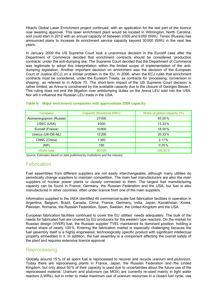Hitachi Global Laser Enrichment project continued, with an application for the last part of the licence now awaiting approval. This laser enrichment plant would be located in Wilmington, North Carolina, and could start in 2012 with an annual capacity of between 3500 and 6 000 tSWU. Tenex (Russia) has announced plans to increase its enrichment service capacity beyond 30000 tSWU in the next few years.

In January 2009 the US Supreme Court took a unanimous decision in the Eurodif case after the Department of Commerce decided that enrichment contracts should be considered 'production contracts' under the anti-dumping law. The Supreme Court decided that the Department of Commerce was legitimate to adopt this interpretation within the limited scope of implementation of the antidumping legislation. Another important decision on enrichment was the decision of the European Court of Justice (ECJ) on a similar problem in the EU, in 2006, when the ECJ ruled that enrichment contracts must be considered, under the Euratom Treaty, as contracts for 'processing, conversion or shaping', as referred to in Article 75. The short-term impact of the US Supreme Court decision is rather limited, as Areva is constrained by the available capacity due to the closure of Georges Besse I. This ruling does not end the litigation over antidumping duties on the Areva LEU sold into the USA. Nor will it influence the Russian LEU trade in the USA.

| Company                 | Capacity (thousand SWU) | Share of global capacity (%) |
|-------------------------|-------------------------|------------------------------|
| Atomenergoprom (Russia) | 27000                   | 45.00%                       |
| USEC (USA)              | 8000                    | $13.33\%$                    |
| Eurodif (France)        | 10800                   | 18.00%                       |
| Urenco (UK-DE-NL)       | 12200                   | 20.33%                       |
| CNNC (China)            | 1300                    | 2.17%                        |
| <b>JNFL</b>             | 150                     | 0.25%                        |
| World total             | 60000                   | 100.00%                      |

#### <span id="page-17-0"></span>**Table 5: Major enrichment companies with approximate 2009 capacity**

<span id="page-17-1"></span>*Source: Estimates based on data published by institutions and the industry.* 

#### **Fabrication**

Fuel assemblies from different suppliers are not easily interchangeable, although many utilities do periodically change suppliers to maintain competition. The main fuel manufacturers are also the main suppliers of nuclear power plants or closely connected to them. The largest fuel manufacturing capacity can be found in France, Germany, the Russian Federation and the USA, but fuel is also manufactured in other countries, often under licence from one of the main suppliers.

Information supplied to the IAEA identified 40 commercial-scale fuel fabrication facilities in operation in Argentina, Belgium, Brazil, Canada, China, France, Germany, India, Japan, Kazakhstan, Korea, Pakistan, Romania, the Russian Federation, Spain, Sweden, the United Kingdom and the USA.

European fabrication facilities continued to cover the EU utilities' needs adequately. The bulk of the needs for fabricated fuel are covered by EU producers for the western type reactors. On the market for Russian design (VVER) fuel, the Russian supplier TVEL maintained its dominant position, holding a market share of nearly 100%. Entering the fabrication market is especially challenging because the fuel assembly itself is a highly engineered, technologically specific product with significant intellectual property embedded in it. In addition, the fuel assembly is a component affecting the overall safety of the plant and requires extensive licence approval.

#### <span id="page-17-2"></span>Reprocessing

Globally around 15% of all spent fuel is reprocessed to recover and recycle uranium and plutonium. Today there are reprocessing plants in France, Japan, the Russian Federation and the United Kingdom, but only about 50% of their capacity is used due to uncertainties about the future use of the reprocessed material. Uranium and plutonium (as MOX) are currently re-used mainly in light water reactors (LWRs), but in order to make maximum use of uranium resources in a closed fuel cycle, use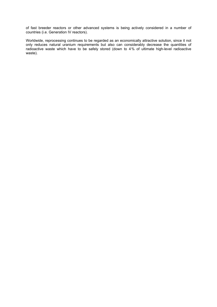of fast breeder reactors or other advanced systems is being actively considered in a number of countries (i.e. Generation IV reactors).

Worldwide, reprocessing continues to be regarded as an economically attractive solution, since it not only reduces natural uranium requirements but also can considerably decrease the quantities of radioactive waste which have to be safely stored (down to 4% of ultimate high-level radioactive waste).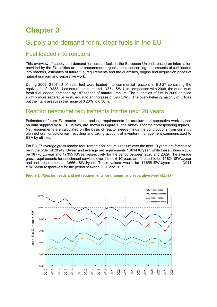# <span id="page-19-1"></span><span id="page-19-0"></span>**Chapter 3**

# <span id="page-19-2"></span>Supply and demand for nuclear fuels in the EU

### Fuel loaded into reactors

This overview of supply and demand for nuclear fuels in the European Union is based on information provided by the EU utilities or their procurement organisations concerning the amounts of fuel loaded into reactors, estimates of future fuel requirements and the quantities, origins and acquisition prices of natural uranium and separative work.

During 2009, 2807 tU of fresh fuel were loaded into commercial reactors in EU-27 containing the equivalent of 19333 tU as natural uranium and 13 754 tSWU. In comparison with 2008, the quantity of fresh fuel loaded increased by 187 tonnes of natural uranium. The quantities of fuel in 2009 entailed slightly more separative work, equal to an increase of 693 tSWU. The overwhelming majority of utilities put their tails assays in the range of 0.20% to 0.30%.

### <span id="page-19-3"></span>Reactor needs/net requirements for the next 20 years

Estimates of future EU reactor needs and net requirements for uranium and separative work, based on data supplied by all EU utilities, are shown in Figure 1 (see Annex 1 for the corresponding figures). Net requirements are calculated on the basis of reactor needs minus the contributions from currently planned uranium/plutonium recycling and taking account of inventory management communicated to ESA by utilities.

For EU-27 average gross reactor requirements for natural uranium over the next 10 years are forecast to be in the order of 20249 tU/year and average net requirements 18014 tU/year, while these values would be 18776 tU/year and 17355 tU/year respectively for the period between 2020 and 2029. The average gross requirements for enrichment services over the next 10 years are forecast to be 14824 tSWU/year and net requirements 13656 tSWU/year. These values would be 14655 tSWU/year and 13911 tSWU/year respectively for the period between 2020 and 2029.

<span id="page-19-4"></span>

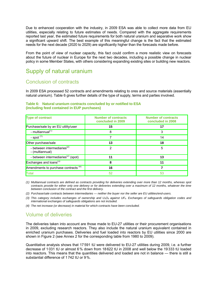Due to enhanced cooperation with the industry, in 2009 ESA was able to collect more data from EU utilities, especially relating to future estimates of needs. Compared with the aggregate requirements reported last year, the estimated future requirements for both natural uranium and separative work show a significant upward shift. The best example of this meaningful change is the fact that the estimated needs for the next decade (2020 to 2029) are significantly higher than the forecasts made before.

From the point of view of nuclear capacity, this fact could confirm a more realistic view on forecasts about the future of nuclear in Europe for the next two decades, including a possible change in nuclear policy in some Member States, with others considering expanding existing sites or building new reactors.

### <span id="page-20-1"></span><span id="page-20-0"></span>Supply of natural uranium

#### Conclusion of contracts

In 2009 ESA processed 52 contracts and amendments relating to ores and source materials (essentially natural uranium). Table 6 gives further details of the type of supply, terms and parties involved.

#### <span id="page-20-2"></span>**Table 6: Natural uranium contracts concluded by or notified to ESA (including feed contained in EUP purchases)**

| <b>Type of contract</b>                                    | <b>Number of contracts</b><br>concluded in 2009 | <b>Number of contracts</b><br>concluded in 2008 |
|------------------------------------------------------------|-------------------------------------------------|-------------------------------------------------|
| Purchase/sale by an EU utility/user                        | 15                                              | 17                                              |
| - multiannual <sup>(1)</sup>                               | 8                                               | 3                                               |
| - spot $(1)$                                               |                                                 | 14                                              |
| Other purchase/sale                                        | 13                                              | 18                                              |
| - between intermediaries <sup>(2)</sup><br>- (multiannual) | 2                                               | 5                                               |
| - between intermediaries <sup>(2)</sup> (spot)             | 11                                              | 13                                              |
| Exchanges and loans <sup>(3)</sup>                         | 8                                               | 11                                              |
| Amendments to purchase contracts $(4)$                     | 16                                              |                                                 |
| Total                                                      | 52                                              | 53                                              |

*(1) Multiannual contracts are defined as contracts providing for deliveries extending over more than 12 months, whereas spot*  contracts provide for either only one delivery or for deliveries extending over a maximum of 12 months, whatever the time *between conclusion of the contract and the first delivery.* 

- *(2) Purchase/sale contracts between intermediaries neither the buyer nor the seller are EU utilities/end-users.*
- (3) This category includes exchanges of ownership and  $U_3O_8$  against UF<sub>6</sub>. Exchanges of safeguards obligation codes and *international exchanges of safeguards obligations are not included.*
- <span id="page-20-3"></span>*(4) The net increase (or decrease) in material for which contracts have been concluded.*

### Volume of deliveries

The deliveries taken into account are those made to EU-27 utilities or their procurement organisations in 2009, excluding research reactors. They also include the natural uranium equivalent contained in enriched uranium purchases. Deliveries and fuel loaded into reactors by EU utilities since 2000 are shown in Figure 2 (see Annex 2 for the corresponding table from 1980 to 2009).

Quantitative analysis shows that 17591 tU were delivered to EU-27 utilities during 2009, i.e. a further decrease of 1031 tU or almost 6% down from 18 622 tU in 2008 and well below the 19 333 tU loaded into reactors. This means that the quantities delivered and loaded are not in balance — there is still a substantial difference of 1742 tU or 9%.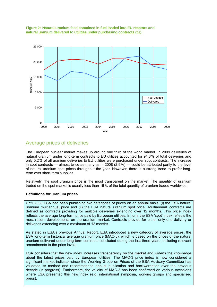<span id="page-21-0"></span>



### <span id="page-21-1"></span>Average prices of deliveries

The European nuclear market makes up around one third of the world market. In 2009 deliveries of natural uranium under long-term contracts to EU utilities accounted for 94.8% of total deliveries and only 5.2% of all uranium deliveries to EU utilities were purchased under spot contracts. The increase in spot contracts — almost twice as many as in 2008 (2.9%) — could be attributed partly to the level of natural uranium spot prices throughout the year. However, there is a strong trend to prefer longterm over short-term supplies.

Relatively, the spot uranium price is the most transparent on the market. The quantity of uranium traded on the spot market is usually less than 15% of the total quantity of uranium traded worldwide.

#### **Definitions for uranium prices**

Until 2008 ESA had been publishing two categories of prices on an annual basis: (i) the ESA natural uranium multiannual price and (ii) the ESA natural uranium spot price. 'Multiannual' contracts are defined as contracts providing for multiple deliveries extending over 12 months. This price index reflects the average long-term price paid by European utilities. In turn, the ESA 'spot' index reflects the most recent developments on the uranium market. Contracts provide for either only one delivery or deliveries extending over a maximum of 12 months.

As stated in ESA's previous Annual Report, ESA introduced a new category of average prices, the ESA long-term historical average uranium price (MAC-3), which is based on the prices of the natural uranium delivered under long-term contracts concluded during the last three years, including relevant amendments to the price levels.

ESA considers that the new index increases transparency on the market and widens the knowledge about the latest prices paid by European utilities. The MAC-3 price index is now considered a significant market indicator since the Working Group on Prices of the ESA Advisory Committee has validated its method and recommended annual publication and backwardation over the previous decade (in progress). Furthermore, the validity of MAC-3 has been confirmed on various occasions where ESA presented this new index (e.g. international symposia, working groups and specialised press).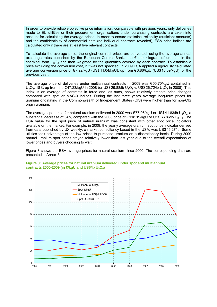In order to provide reliable objective price information, comparable with previous years, only deliveries made to EU utilities or their procurement organisations under purchasing contracts are taken into account for calculating the average prices. In order to ensure statistical reliability (sufficient amounts) and the confidentiality of commercial data (no individual contracts revealed), ESA price indices are calculated only if there are at least five relevant contracts.

To calculate the average price, the original contract prices are converted, using the average annual exchange rates published by the European Central Bank, into € per kilogram of uranium in the chemical form  $U_3O_8$  and then weighted by the quantities covered by each contract. To establish a price excluding the conversion cost, if it was not specified, in 2009 ESA applied a rigorously calculated average conversion price of € 7.92/kgU (US\$ 11.04/kgU), up from € 6.86/kgU (US\$10.09/kgU) for the previous year.

The average price of deliveries under multiannual contracts in 2009 was €55.70/kgU contained in  $U_3O_8$ , 18% up from the €47.23/kgU in 2008 (or US\$29.88/lb U<sub>3</sub>O<sub>8</sub> v. US\$26.72/lb U<sub>3</sub>O<sub>8</sub> in 2008). This index is an average of contracts in force and, as such, shows relatively smooth price changes compared with spot or MAC-3 indices. During the last three years average long-term prices for uranium originating in the Commonwealth of Independent States (CIS) were higher than for non-CIS origin uranium.

The average spot price for natural uranium delivered in 2009 was  $\epsilon$ 77.96/kgU or US\$41.83/lb U<sub>3</sub>O<sub>8</sub>, a substantial decrease of 34% compared with the 2008 price of  $\epsilon$  118.19/kgU or US\$66.86/lb U<sub>3</sub>O<sub>8</sub>. The ESA value for the spot price of natural uranium was consistent with other spot price indicators available on the market. For example, in 2009, the yearly average uranium spot price indicator derived from data published by UX weekly, a market consultancy based in the USA, was US\$46.27/lb. Some utilities took advantage of the low prices to purchase uranium on a discretionary basis. During 2009 natural uranium spot prices stayed relatively lower than last year due to the overall expectations of lower prices and buyers choosing to wait.

Figure 3 shows the ESA average prices for natural uranium since 2000. The corresponding data are presented in Annex 3.



#### <span id="page-22-0"></span>**Figure 3: Average prices for natural uranium delivered under spot and multiannual contracts 2000-2009 (in €kgU and US\$/lb U<sub>3</sub>O<sub>8</sub>)**

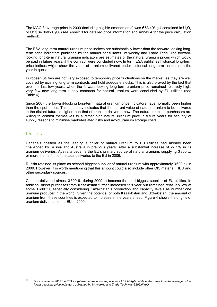The MAC-3 average price in 2009 (including eligible amendments) was  $\epsilon$ 63.49/kgU contained in U<sub>3</sub>O<sub>8</sub> or US\$34.06/lb  $U_3O_8$  (see Annex 3 for detailed price information and Annex 4 for the price calculation method).

The ESA long-term natural uranium price indices are substantially lower than the forward-looking longterm price indicators published by the market consultants Ux weekly and Trade Tech. The forwardlooking long-term natural uranium indicators are estimates of the natural uranium prices which would be paid in future years, if the contract were concluded now. In turn, ESA publishes historical long-term price indices which show the value of uranium delivered under historical long-term contracts in the year in question $13$ .

European utilities are not very exposed to temporary price fluctuations on the market, as they are well covered by existing long-term contracts and hold adequate stocks. This is also proved by the fact that over the last few years, when the forward-looking long-term uranium price remained relatively high, very few new long-term supply contracts for natural uranium were concluded by EU utilities (see Table 6).

Since 2007 the forward-looking long-term natural uranium price indicators have normally been higher than the spot prices. This tendency indicates that the current value of natural uranium to be delivered in the distant future is higher than that of uranium delivered now. The natural uranium purchasers are willing to commit themselves to a rather high natural uranium price in future years for security of supply reasons to minimise market-related risks and avoid uranium storage costs.

### <span id="page-23-0"></span>**Origins**

Canada's position as the leading supplier of natural uranium to EU utilities had already been challenged by Russia and Australia in previous years. After a substantial increase of 27.1% in its uranium deliveries, Australia became the EU's primary source of natural uranium, supplying 3800 tU or more than a fifth of the total deliveries to the EU in 2009.

Russia retained its place as second biggest supplier of natural uranium with approximately 3600 tU in 2009. However, it is worth mentioning that this amount could also include other CIS material, HEU and other secondary sources.

Canada delivered almost 3 300 tU during 2009 to become the third biggest supplier of EU utilities. In addition, direct purchases from Kazakhstan further increased this year but remained relatively low at some 1600 tU, especially considering Kazakhstan's production and capacity levels as number one uranium producer in the world. Given the potential of both Kazakhstan and Uzbekistan, the amount of uranium from these countries is expected to increase in the years ahead. Figure 4 shows the origins of uranium deliveries to the EU in 2009.

 $12$ *13 For example, in 2009 the ESA long-term natural uranium price was €55.70/kgU, while at the same time the average of the forward-looking price indicators published by Ux weekly and Trade Tech was €109.0/kgU.*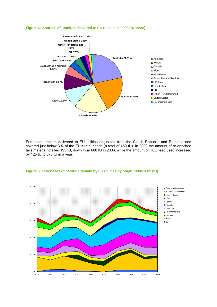#### <span id="page-24-0"></span>**Figure 4: Sources of uranium delivered to EU utilities in 2009 (% share)**



European uranium delivered to EU utilities originated from the Czech Republic and Romania and covered just below 3% of the EU's total needs (a total of 480 tU). In 2009 the amount of re-enriched tails material totalled 193 tU, down from 688 tU in 2008, while the amount of HEU feed used increased by 125 tU to 675 tU in a year.

<span id="page-24-1"></span>

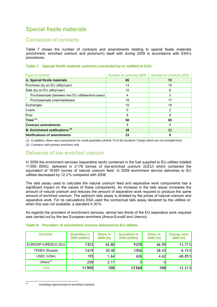# <span id="page-25-1"></span><span id="page-25-0"></span>Special fissile materials

### Conclusion of contracts

Table 7 shows the number of contracts and amendments relating to special fissile materials (enrichment, enriched uranium and plutonium) dealt with during 2009 in accordance with ESA's procedures.

<span id="page-25-2"></span>

|  |  | Table 7: Special fissile material contracts concluded by or notified to ESA |
|--|--|-----------------------------------------------------------------------------|
|  |  |                                                                             |

| Type of contract                                   | Number of contracts 2009 | Number of contracts 2008 |
|----------------------------------------------------|--------------------------|--------------------------|
| A. Special fissile materials                       | 65                       | 72                       |
| Purchase (by an EU utility/user)                   | 13                       | 10                       |
| Sale (by an EU utility/user)                       | 10                       | 8                        |
| Purchase/sale (between two EU utilities/end-users) | 4                        | 3                        |
| Purchase/sale (intermediaries)                     | 15                       | 17                       |
| Exchanges                                          | 10                       | 16                       |
| Loans                                              | 0                        | 2                        |
| Pool                                               | 6                        | 9                        |
| Total <sup>(1)</sup>                               | 58                       | 65                       |
| <b>Contract amendments</b>                         | 7                        |                          |
| <b>B.</b> Enrichment notifications <sup>(2)</sup>  | 18                       | 11                       |
| Notifications of amendments                        | 23                       | 8                        |

*(1) In addition, there were transactions for small quantities (Article 74 of the Euratom Treaty) which are not included here.* 

<span id="page-25-3"></span>*(2) Contracts with primary enrichers only.* 

### Deliveries of low-enriched uranium

In 2009 the enrichment services (separative work) contained in the fuel supplied to EU utilities totalled 11905 tSWU, delivered in 2 176 tonnes of low-enriched uranium (tLEU) which contained the equivalent of 16497 tonnes of natural uranium feed. In 2009 enrichment service deliveries to EU utilities decreased by 12.2% compared with 2008.

The tails assay used to calculate the natural uranium feed and separative work components has a significant impact on the values of these components. An increase in the tails assay increases the amount of natural uranium and reduces the amount of separative work required to produce the same amount of enriched uranium. The optimum tails assay is dictated by the prices of natural uranium and separative work. For its calculations ESA used the contractual tails assay declared by the utilities or, when this was not available, a standard 0.30 %.

As regards the providers of enrichment services, almost two thirds of the EU separative work required was carried out by the two European enrichers (Areva-Eurodif and Urenco).

| <b>Enricher</b>       | <b>Quantities in</b><br>2009 (tSWU) | <b>Share in</b><br>2009 (%) | <b>Quantities in</b><br>2008 (tSWU) | <b>Share in</b><br>2008 (%) | <b>Change over</b><br>$2008 (^{\circ\circ})$ |
|-----------------------|-------------------------------------|-----------------------------|-------------------------------------|-----------------------------|----------------------------------------------|
| EURODIF+URENCO (EU)   | <b>7833</b>                         | 65.80                       | 9078                                | 66.95                       | $-13.71%$                                    |
| <b>TENEX (Russia)</b> | 3619                                | 30.40                       | 3856                                | 28.43                       | $-6.15%$                                     |
| USEC (USA)            | 195                                 | 1.64                        | 626                                 | 4.62                        | $-68.85%$                                    |
| Others $14$           | 258                                 | 2.17                        |                                     | 0                           |                                              |
| Total                 | 11905                               | 100                         | 13560                               | <b>100</b>                  | $-12.21%$                                    |

#### <span id="page-25-4"></span>**Table 8: Providers of enrichment services delivered to EU utilities**

*<sup>14</sup> Including reprocessed re-enriched uranium.* 

 $14$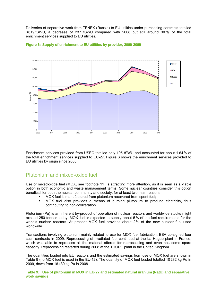Deliveries of separative work from TENEX (Russia) to EU utilities under purchasing contracts totalled 3619 tSWU, a decrease of 237 tSWU compared with 2008 but still around 30º% of the total enrichment services supplied to EU utilities.



#### <span id="page-26-0"></span>**Figure 6: Supply of enrichment to EU utilities by provider, 2000-2009**

Enrichment services provided from USEC totalled only 195 tSWU and accounted for about 1.64% of the total enrichment services supplied to EU-27. Figure 6 shows the enrichment services provided to EU utilities by origin since 2000.

#### <span id="page-26-1"></span>Plutonium and mixed-oxide fuel

Use of mixed-oxide fuel (MOX, see footnote 11) is attracting more attention, as it is seen as a viable option in both economic and waste management terms. Some nuclear countries consider this option beneficial for both the nuclear community and society, for at least two main reasons:

- MOX fuel is manufactured from plutonium recovered from spent fuel;
- MOX fuel also provides a means of burning plutonium to produce electricity, thus contributing to non-proliferation.

Plutonium (Pu) is an inherent by-product of operation of nuclear reactors and worldwide stocks might exceed 250 tonnes today. MOX fuel is expected to supply about 5% of the fuel requirements for the world's nuclear reactors. At present MOX fuel provides about 2% of the new nuclear fuel used worldwide.

Transactions involving plutonium mainly related to use for MOX fuel fabrication: ESA co-signed four such contracts in 2009. Reprocessing of irradiated fuel continued at the La Hague plant in France, which was able to reprocess all the material offered for reprocessing and even has some spare capacity. Reprocessing restarted during 2008 at the THORP plant in the United Kingdom.

The quantities loaded into EU reactors and the estimated savings from use of MOX fuel are shown in Table 9 (no MOX fuel is used in the EU-12). The quantity of MOX fuel loaded totalled 10 282 kg Pu in 2009, down from 16 430 kg Pu in 2008.

<span id="page-26-2"></span>**Table 9: Use of plutonium in MOX in EU-27 and estimated natural uranium (NatU) and separative work savings**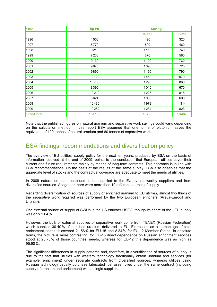| Year               | kg Pu  | <b>Savings</b> |       |
|--------------------|--------|----------------|-------|
|                    |        | tNatU          | tSWU  |
| 1996               | 4050   | 490            | 320   |
| 1997               | 5770   | 690            | 460   |
| 1998               | 9210   | 1110           | 740   |
| 1999               | 7230   | 870            | 580   |
| 2000               | 9130   | 1100           | 730   |
| 2001               | 9070   | 1090           | 725   |
| 2002               | 9890   | 1190           | 790   |
| 2003               | 12120  | 1450           | 970   |
| 2004               | 10730  | 1290           | 860   |
| 2005               | 8390   | 1010           | 670   |
| 2006               | 10210  | 1225           | 815   |
| 2007               | 8624   | 1035           | 690   |
| 2008               | 16430  | 1972           | 1314  |
| 2009               | 10282  | 1234           | 823   |
| <b>Grand total</b> | 131136 | 15756          | 10487 |

Note that the published figures on natural uranium and separative work savings could vary, depending on the calculation method. In this report ESA assumed that one tonne of plutonium saves the equivalent of 120 tonnes of natural uranium and 80 tonnes of separative work.

### <span id="page-27-0"></span>ESA findings, recommendations and diversification policy

The overview of EU utilities' supply policy for the next ten years, produced by ESA on the basis of information received at the end of 2009, points to the conclusion that European utilities cover their current and future requirements mainly by means of long-term contracts. This approach is in line with ESA recommendations. On the basis of the results of the same survey, ESA also observes that the aggregate level of stocks and the contractual coverage are adequate to meet the needs of utilities.

In 2009 natural uranium continued to be supplied to the EU by trustworthy suppliers and from diversified sources. Altogether there were more than 10 different sources of supply.

Regarding diversification of sources of supply of enriched uranium to EU utilities, almost two thirds of the separative work required was performed by the two European enrichers (Areva-Eurodif and Urenco).

One external source of supply of SWUs is the US enricher USEC, though its share of the LEU supply was only 1.64%.

However, the bulk of external supplies of separative work come from TENEX (Russian Federation) which supplies 30.40% of enriched uranium delivered to EU. Expressed as a percentage of total enrichment needs, it covered 21.56% for EU-15 and 8.84% for EU-12 Member States. In absolute terms, the picture is more contrasting: for EU-15 direct dependence on Russian enrichment services stood at 23.75% of those countries' needs, whereas for EU-12 this dependence was as high as 95.90%.

The significant differences in supply patterns and, therefore, in diversification of sources of supply is due to the fact that utilities with western technology traditionally obtain uranium and services (for example, enrichment) under separate contracts from diversified sources, whereas utilities using Russian technology usually purchase fabricated fuel assemblies under the same contract (including supply of uranium and enrichment) with a single supplier.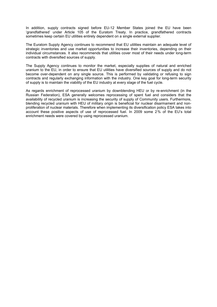In addition, supply contracts signed before EU-12 Member States joined the EU have been 'grandfathered' under Article 105 of the Euratom Treaty. In practice, grandfathered contracts sometimes keep certain EU utilities entirely dependent on a single external supplier.

The Euratom Supply Agency continues to recommend that EU utilities maintain an adequate level of strategic inventories and use market opportunities to increase their inventories, depending on their individual circumstances. It also recommends that utilities cover most of their needs under long-term contracts with diversified sources of supply.

The Supply Agency continues to monitor the market, especially supplies of natural and enriched uranium to the EU, in order to ensure that EU utilities have diversified sources of supply and do not become over-dependent on any single source. This is performed by validating or refusing to sign contracts and regularly exchanging information with the industry. One key goal for long-term security of supply is to maintain the viability of the EU industry at every stage of the fuel cycle.

As regards enrichment of reprocessed uranium by downblending HEU or by re-enrichment (in the Russian Federation), ESA generally welcomes reprocessing of spent fuel and considers that the availability of recycled uranium is increasing the security of supply of Community users. Furthermore, blending recycled uranium with HEU of military origin is beneficial for nuclear disarmament and nonproliferation of nuclear materials. Therefore when implementing its diversification policy ESA takes into account these positive aspects of use of reprocessed fuel. In 2009 some 2% of the EU's total enrichment needs were covered by using reprocessed uranium.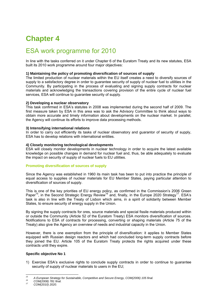# <span id="page-29-1"></span><span id="page-29-0"></span>**Chapter 4**

# ESA work programme for 2010

In line with the tasks conferred on it under Chapter 6 of the Euratom Treaty and its new statutes, ESA built its 2010 work programme around four major objectives:

#### **1) Maintaining the policy of promoting diversification of sources of supply**

The limited production of nuclear materials within the EU itself creates a need to diversify sources of supply to a satisfactory degree in order to guarantee security of supply of nuclear fuel to utilities in the Community. By participating in the process of evaluating and signing supply contracts for nuclear materials and acknowledging the transactions covering provision of the entire cycle of nuclear fuel services, ESA will continue to guarantee security of supply.

#### **2) Developing a nuclear observatory**

This task confirmed in ESA's statutes in 2008 was implemented during the second half of 2009. The first measure taken by ESA in this area was to ask the Advisory Committee to think about ways to obtain more accurate and timely information about developments on the nuclear market. In parallel, the Agency will continue its efforts to improve data processing methods.

#### **3) Intensifying international relations**

In order to carry out efficiently its tasks of nuclear observatory and guarantor of security of supply, ESA has to develop relations with international entities.

#### **4) Closely monitoring technological developments**

ESA will closely monitor developments in nuclear technology in order to acquire the latest available knowledge on possible changes in demand for nuclear fuel and, thus, be able adequately to evaluate the impact on security of supply of nuclear fuels to EU utilities.

#### **Promoting diversification of sources of supply**

Since the Agency was established in 1960 its main task has been to put into practice the principle of equal access to supplies of nuclear materials for EU Member States, paying particular attention to diversification of sources of supply.

This is one of the key priorities of EU energy policy, as confirmed in the Commission's 2006 Green Paper<sup>15</sup>, in the Second Strategic Energy Review<sup>16</sup> and, finally, in the Europe 2020 Strategy<sup>17</sup>. ESA's task is also in line with the Treaty of Lisbon which aims, in a spirit of solidarity between Member States, to ensure security of energy supply in the Union.

By signing the supply contracts for ores, source materials and special fissile materials produced within or outside the Community (Article 52 of the Euratom Treaty) ESA monitors diversification of sources. Notifications to ESA of contracts for processing, converting or shaping materials (Article 75 of the Treaty) also give the Agency an overview of needs and industrial capacity in the Union.

However, there is one exemption from the principle of diversification: it applies to Member States equipped with Russian design reactors and which had concluded long-term supply contracts before they joined the EU. Article 105 of the Euratom Treaty protects the rights acquired under these contracts until they expire.

#### **Specific objective No 1**

1) Exercise ESA's exclusive rights to conclude supply contracts in order to continue to guarantee security of supply of nuclear materials to users in the EU;

 $15$ *15 A European Strategy for Sustainable, Competitive and Secure Energy, COM(2006) 105 final. 16 COM(2008) 781 final. 17 COM(2010) 2020.*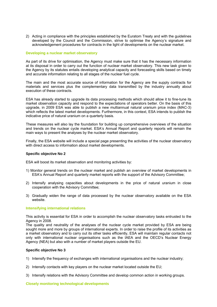2) Acting in compliance with the principles established by the Euratom Treaty and with the guidelines developed by the Council and the Commission, strive to optimise the Agency's signature and acknowledgement procedures for contracts in the light of developments on the nuclear market.

#### **Developing a nuclear market observatory**

As part of its drive for optimisation, the Agency must make sure that it has the necessary information at its disposal in order to carry out the function of nuclear market observatory. This new task given to the Agency by its statutes entails developing analytical capacity and forecasting skills based on timely and accurate information relating to all stages of the nuclear fuel cycle.

The main and the most accurate source of information for the Agency are the supply contracts for materials and services plus the complementary data transmitted by the industry annually about execution of these contracts.

ESA has already started to upgrade its data processing methods which should allow it to fine-tune its market observation capacity and respond to the expectations of operators better. On the basis of this upgrade, in 2009 ESA was able to publish a new multiannual natural uranium price index (MAC-3) which reflects the latest market developments. Furthermore, in this context, ESA intends to publish the indicative price of natural uranium on a quarterly basis.

These measures will also lay the foundation for building up comprehensive overviews of the situation and trends on the nuclear cycle market. ESA's Annual Report and quarterly reports will remain the main ways to present the analyses by the nuclear market observatory.

Finally, the ESA website will include a special page presenting the activities of the nuclear observatory with direct access to information about market developments.

#### **Specific objective No 2**

ESA will boost its market observation and monitoring activities by:

- 1) Monitor general trends on the nuclear market and publish an overview of market developments in ESA's Annual Report and quarterly market reports with the support of the Advisory Committee;
- 2) Intensify analysing capacities about developments in the price of natural uranium in close cooperation with the Advisory Committee;
- 3) Gradually widen the range of data processed by the nuclear observatory available on the ESA website.

#### **Intensifying international relations**

This activity is essential for ESA in order to accomplish the nuclear observatory tasks entrusted to the Agency in 2008.

The quality and neutrality of the analyses of the nuclear cycle market provided by ESA are being sought more and more by groups of international experts. In order to raise the profile of its activities as a market observatory and to carry out its other tasks efficiently, ESA will maintain regular contacts not only with international nuclear organisations such as the IAEA and the OECD's Nuclear Energy Agency (NEA) but also with a number of market players outside the EU.

#### **Specific objective No 3**

- 1) Intensify the frequency of exchanges with international organisations and the nuclear industry;
- 2) Intensify contacts with key players on the nuclear market located outside the EU;
- 3) Intensify relations with the Advisory Committee and develop common action in working groups.

**Closely monitoring technological developments**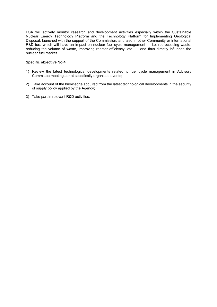ESA will actively monitor research and development activities especially within the Sustainable Nuclear Energy Technology Platform and the Technology Platform for Implementing Geological Disposal, launched with the support of the Commission, and also in other Community or international R&D fora which will have an impact on nuclear fuel cycle management — i.e. reprocessing waste, reducing the volume of waste, improving reactor efficiency, etc. — and thus directly influence the nuclear fuel market.

#### **Specific objective No 4**

- 1) Review the latest technological developments related to fuel cycle management in Advisory Committee meetings or at specifically organised events;
- 2) Take account of the knowledge acquired from the latest technological developments in the security of supply policy applied by the Agency;
- 3) Take part in relevant R&D activities.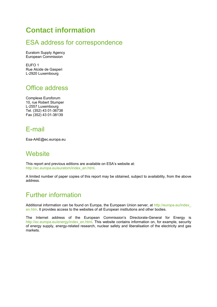# <span id="page-32-1"></span><span id="page-32-0"></span>**Contact information**

# ESA address for correspondence

Euratom Supply Agency European Commission

EUFO 1 Rue Alcide de Gasperi L-2920 Luxembourg

# <span id="page-32-2"></span>Office address

Complexe Euroforum 10, rue Robert Stumper L-2557 Luxembourg Tel. (352) 43 01-36738 Fax (352) 43 01-38139

# <span id="page-32-3"></span>E-mail

<span id="page-32-4"></span>Esa-AAE@ec.europa.eu

# **Website**

This report and previous editions are available on ESA's website at: [http://ec.europa.eu/euratom/index\\_en.html.](http://ec.europa.eu/euratom/index_en.html) 

A limited number of paper copies of this report may be obtained, subject to availability, from the above address.

# <span id="page-32-5"></span>Further information

Additional information can be found on Europa, the European Union server, at http://europa.eu/index en.htm. It provides access to the websites of all European institutions and other bodies.

The Internet address of the European Commission's Directorate-General for Energy is http://ec.europa.eu/energy/index\_en.html. This website contains information on, for example, security of energy supply, energy-related research, nuclear safety and liberalisation of the electricity and gas markets.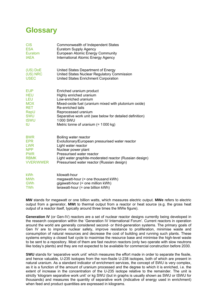# <span id="page-33-0"></span>**Glossary**

| <b>CIS</b>       | Commonwealth of Independent States                       |
|------------------|----------------------------------------------------------|
| <b>ESA</b>       | <b>Euratom Supply Agency</b>                             |
| Euratom          | <b>European Atomic Energy Community</b>                  |
| <b>IAEA</b>      | International Atomic Energy Agency                       |
| (US) DoE         | United States Department of Energy                       |
| (US) NRC         | United States Nuclear Regulatory Commission              |
| <b>USEC</b>      | United States Enrichment Corporation                     |
| <b>EUP</b>       | Enriched uranium product                                 |
| <b>HEU</b>       | Highly enriched uranium                                  |
| LEU              | Low-enriched uranium                                     |
| <b>MOX</b>       | Mixed-oxide fuel (uranium mixed with plutonium oxide)    |
| <b>RET</b>       | Re-enriched tails                                        |
| RepU             | Reprocessed uranium                                      |
| <b>SWU</b>       | Separative work unit (see below for detailed definition) |
| tSWU             | 1000 SWU                                                 |
| tU               | Metric tonne of uranium $(= 1000 kg)$                    |
| <b>BWR</b>       | Boiling water reactor                                    |
| <b>EPR</b>       | Evolutionary/European pressurised water reactor          |
| <b>LWR</b>       | Light water reactor                                      |
| <b>NPP</b>       | Nuclear power plant                                      |
| <b>PWR</b>       | Pressurised water reactor                                |
| <b>RBMK</b>      | Light water graphite-moderated reactor (Russian design)  |
| <b>VVER/WWER</b> | Pressurised water reactor (Russian design)               |
| k\\/h            | kilowatt_hour                                            |

| <b>kWh</b> | kilowatt-hour                        |
|------------|--------------------------------------|
| MWh        | megawatt-hour $(=$ one thousand kWh) |
| GWh        | gigawatt-hour (= one million kWh)    |
| <b>TWh</b> | terawatt-hour (= one billion kWh)    |

**MW** stands for megawatt or one billion watts, which measures electric output. **MWe** refers to electric output from a generator, **MWt** to thermal output from a reactor or heat source (e.g. the gross heat output of a reactor itself, typically around three times the MWe figure).

**Generation IV** (or Gen-IV) reactors are a set of nuclear reactor designs currently being developed in the research cooperation within the 'Generation IV International Forum'. Current reactors in operation around the world are generally considered second- or third-generation systems. The primary goals of Gen IV are to improve [nuclear safety,](http://en.wikipedia.org/wiki/Nuclear_safety) improve resistance to proliferation, minimise waste and consumption of natural resources and decrease the cost of building and running such plants. These systems employ a closed fuel cycle to maximise the resource base and minimise the high-level waste to be sent to a repository. Most of them are [fast neutron reactors](http://www.world-nuclear.org/info/inf98.html) (only two operate with slow neutrons like today's plants) and they are not expected to be available for commercial construction before 2030.

**SWU** stands for 'separative work unit' which measures the effort made in order to separate the fissile, and hence valuable, U-235 isotopes from the non-fissile U-238 isotopes, both of which are present in natural uranium. As a standard indicator of enrichment services, the concept of SWU is very complex, as it is a function of the amount of uranium processed and the degree to which it is enriched, i.e. the extent of increase in the concentration of the U-235 isotope relative to the remainder. The unit is strictly 'kilogram separative work unit' or kg SWU (but in graphs is usually shown as SWU or tSWU for thousands) and measures the quantity of separative work (indicative of energy used in enrichment) when feed and product quantities are expressed in kilograms.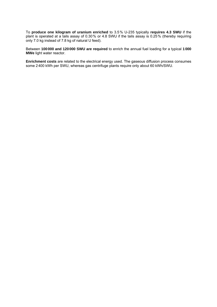To **produce one kilogram of uranium enriched** to 3.5% U-235 typically **requires 4.3 SWU** if the plant is operated at a tails assay of 0.30% or 4.8 SWU if the tails assay is 0.25% (thereby requiring only 7.0 kg instead of 7.8 kg of natural U feed).

Between **100000 and 120000 SWU are required** to enrich the annual fuel loading for a typical **1000 MWe** light water reactor.

**Enrichment costs** are related to the electrical energy used. The gaseous diffusion process consumes some 2400 kWh per SWU, whereas gas centrifuge plants require only about 60 kWh/SWU.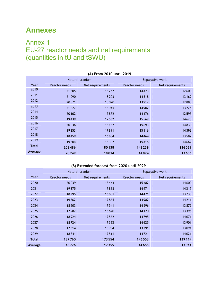# <span id="page-35-1"></span><span id="page-35-0"></span>**Annexes**

# <span id="page-35-2"></span>Annex 1 EU-27 reactor needs and net requirements (quantities in tU and tSWU)

|              |                                   | Natural uranium | Separative work |                  |  |
|--------------|-----------------------------------|-----------------|-----------------|------------------|--|
| Year         | Reactor needs<br>Net requirements |                 | Reactor needs   | Net requirements |  |
| 2010         | 21805                             | 18252           | 14473           | 12600            |  |
| 2011         | 21090                             | 18 20 3         | 14518           | 13169            |  |
| 2012         | 20871                             | 18070           | 13912           | 12880            |  |
| 2013         | 21627                             | 18945           | 14902           | 13225            |  |
| 2014         | 20102                             | 17872           | 14176           | 12595            |  |
| 2015         | 19439                             | 17532           | 15569           | 14625            |  |
| 2016         | 20036                             | 18187           | 15693           | 14830            |  |
| 2017         | 19253                             | 17891           | 15116           | 14392            |  |
| 2018         | 18459                             | 16884           | 14464           | 13582            |  |
| 2019         | 19804                             | 18 3 02         | 15416           | 14662            |  |
| <b>Total</b> | 202486                            | 180138          | 148239          | 136561           |  |
| Average      | 20249                             | 18014           | 14824           | 13656            |  |

#### **(A) From 2010 until 2019**

#### **(B) Extended forecast from 2020 until 2029**

|              |               | Natural uranium  | Separative work |                  |  |
|--------------|---------------|------------------|-----------------|------------------|--|
| Year         | Reactor needs | Net requirements | Reactor needs   | Net requirements |  |
| 2020         | 20039         | 18444            | 15482           | 14600            |  |
| 2021         | 19 3 75       | 17863            | 14971           | 14217            |  |
| 2022         | 18295         | 16801            | 14471           | 13735            |  |
| 2023         | 19362         | 17865            | 14982           | 14211            |  |
| 2024         | 18903         | 17541            | 14596           | 13872            |  |
| 2025         | 17982         | 16620            | 14120           | 13396            |  |
| 2026         | 18924         | 17562            | 14795           | 14071            |  |
| 2027         | 18724         | 17362            | 14625           | 13901            |  |
| 2028         | 17314         | 15984            | 13791           | 13091            |  |
| 2029         | 18841         | 17511            | 14721           | 14021            |  |
| <b>Total</b> | 187760        | 173554           | 146553          | 139114           |  |
| Average      | 18776         | 17355            | 14655           | 13911            |  |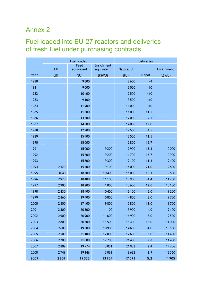# <span id="page-36-1"></span><span id="page-36-0"></span>Annex 2

# Fuel loaded into EU-27 reactors and deliveries of fresh fuel under purchasing contracts

|      | <b>Fuel loaded</b> |            |            | <b>Deliveries</b> |        |            |
|------|--------------------|------------|------------|-------------------|--------|------------|
|      |                    | Feed       | Enrichment |                   |        |            |
|      | LEU                | equivalent | equivalent | Natural U         |        | Enrichment |
| Year | (tU)               | (tU)       | (tSWU)     | (tU)              | % spot | (tSWU)     |
| 1980 |                    | 9600       |            | 8600              | $-4$   |            |
| 1981 |                    | 9000       |            | 13000             | 10     |            |
| 1982 |                    | 10400      |            | 12500             | ~10    |            |
| 1983 |                    | 9100       |            | 13500             | ~10    |            |
| 1984 |                    | 11900      |            | 11000             | ~10    |            |
| 1985 |                    | 11 300     |            | 11000             | 11.5   |            |
| 1986 |                    | 13200      |            | 12000             | 9.5    |            |
| 1987 |                    | 14300      |            | 14000             | 17.0   |            |
| 1988 |                    | 12 900     |            | 12500             | 4.5    |            |
| 1989 |                    | 15400      |            | 13500             | 11.5   |            |
| 1990 |                    | 15000      |            | 12800             | 16.7   |            |
| 1991 |                    | 15000      | 9200       | 12 900            | 13.3   | 10000      |
| 1992 |                    | 15200      | 9200       | 11700             | 13.7   | 10900      |
| 1993 |                    | 15600      | 9300       | 12 100            | 11.3   | 9100       |
| 1994 | 2520               | 15400      | 9100       | 14000             | 21.0   | 9800       |
| 1995 | 3040               | 18700      | 10400      | 16000             | 18.1   | 9600       |
| 1996 | 2920               | 18400      | 11 100     | 15900             | 4.4    | 11700      |
| 1997 | 2900               | 18200      | 11000      | 15600             | 12.0   | 10100      |
| 1998 | 2830               | 18400      | 10400      | 16 100            | 6.0    | 9200       |
| 1999 | 2860               | 19400      | 10800      | 14800             | 8.0    | 9700       |
| 2000 | 2500               | 17400      | 9800       | 15800             | 12.0   | 9700       |
| 2001 | 2800               | 20 300     | 11 100     | 13900             | 4.0    | 9100       |
| 2002 | 2900               | 20 900     | 11600      | 16900             | 8.0    | 9500       |
| 2003 | 2800               | 20700      | 11500      | 16400             | 18.0   | 11000      |
| 2004 | 2600               | 19 300     | 10900      | 14600             | 4.0    | 10500      |
| 2005 | 2500               | 21 100     | 12000      | 17600             | 5.0    | 11400      |
| 2006 | 2700               | 21000      | 12700      | 21400             | 7.8    | 11400      |
| 2007 | 2809               | 19774      | 13051      | 21932             | 2.4    | 14756      |
| 2008 | 2749               | 19146      | 13061      | 18622             | 2.9    | 13560      |
| 2009 | 2807               | 19333      | 13754      | 17591             | $5.2$  | 11905      |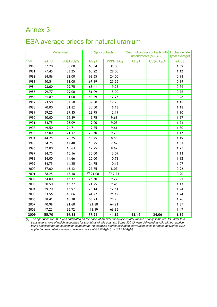# <span id="page-37-1"></span><span id="page-37-0"></span>Annex 3

# ESA average prices for natural uranium

|      |       | Multiannual       | Spot contracts |                                       | New multiannual contracts with   Exchange rate<br>amendments (MAC-3) |                   | (year average) |
|------|-------|-------------------|----------------|---------------------------------------|----------------------------------------------------------------------|-------------------|----------------|
| Year | €/kgU | $US$/lb$ $U_3O_8$ | €/kgU          | US\$/Ib U <sub>3</sub> O <sub>8</sub> | €/kgU                                                                | $US$/lb$ $U_3O_8$ | <b>€/US\$</b>  |
| 1980 | 67.20 | 36.00             | 65.34          | 35.00                                 |                                                                      |                   | 1.39           |
| 1981 | 77.45 | 33.25             | 65.22          | 28.00                                 |                                                                      |                   | 1.12           |
| 1982 | 84.86 | 32.00             | 63.65          | 24.00                                 |                                                                      |                   | 0.98           |
| 1983 | 90.51 | 31.00             | 67.89          | 23.25                                 |                                                                      |                   | 0.89           |
| 1984 | 98.00 | 29.75             | 63.41          | 19.25                                 |                                                                      |                   | 0.79           |
| 1985 | 99.77 | 29.00             | 51.09          | 15.00                                 |                                                                      |                   | 0.76           |
| 1986 | 81.89 | 31.00             | 46.89          | 17.75                                 |                                                                      |                   | 0.98           |
| 1987 | 73.50 | 32.50             | 39.00          | 17.25                                 |                                                                      |                   | 1.15           |
| 1988 | 70.00 | 31.82             | 35.50          | 16.13                                 |                                                                      |                   | 1.18           |
| 1989 | 69.25 | 29.35             | 28.75          | 12.19                                 |                                                                      |                   | 1.10           |
| 1990 | 60.00 | 29.39             | 19.75          | 9.68                                  |                                                                      |                   | 1.27           |
| 1991 | 54.75 | 26.09             | 19.00          | 9.05                                  |                                                                      |                   | 1.24           |
| 1992 | 49.50 | 24.71             | 19.25          | 9.61                                  |                                                                      |                   | 1.30           |
| 1993 | 47.00 | 21.17             | 20.50          | 9.23                                  |                                                                      |                   | 1.17           |
| 1994 | 44.25 | 20.25             | 18.75          | 8.58                                  |                                                                      |                   | 1.19           |
| 1995 | 34.75 | 17.48             | 15.25          | 7.67                                  |                                                                      |                   | 1.31           |
| 1996 | 32.00 | 15.63             | 17.75          | 8.67                                  |                                                                      |                   | 1.27           |
| 1997 | 34.75 | 15.16             | 30.00          | 13.09                                 |                                                                      |                   | 1.13           |
| 1998 | 34.00 | 14.66             | 25.00          | 10.78                                 |                                                                      |                   | 1.12           |
| 1999 | 34.75 | 14.25             | 24.75          | 10.15                                 |                                                                      |                   | 1.07           |
| 2000 | 37.00 | 13.12             | 22.75          | 8.07                                  |                                                                      |                   | 0.92           |
| 2001 | 38.25 | 13.18             | $(1)$ 21.00    | $\overline{117}$ .23                  |                                                                      |                   | 0.90           |
| 2002 | 34.00 | 12.37             | 25.50          | 9.27                                  |                                                                      |                   | 0.95           |
| 2003 | 30.50 | 13.27             | 21.75          | 9.46                                  |                                                                      |                   | 1.13           |
| 2004 | 29.20 | 13.97             | 26.14          | 12.51                                 |                                                                      |                   | 1.24           |
| 2005 | 33.56 | 16.06             | 44.27          | 21.19                                 |                                                                      |                   | 1.24           |
| 2006 | 38.41 | 18.38             | 53.73          | 25.95                                 |                                                                      |                   | 1.26           |
| 2007 | 40.98 | 21.60             | 121.80         | 64.21                                 |                                                                      |                   | 1.37           |
| 2008 | 47.23 | 26.72             | 118.19         | 66.86                                 |                                                                      |                   | 1.47           |
| 2009 | 55.70 | 29.88             | 77.96          | 41.83                                 | 63.49                                                                | 34.06             | 1.39           |

*(1) The spot price for 2001 was calculated on the basis of an exceptionally low total volume of only some 330 tU under four*  transactions, one of which accounted for two thirds of this quantity. Some 300 tU were delivered as UF<sub>6</sub> without a price *being specified for the conversion component. To establish a price excluding conversion costs for these deliveries, ESA applied an estimated average conversion price of € 5.70/kgU (or US\$5.10/kgU).*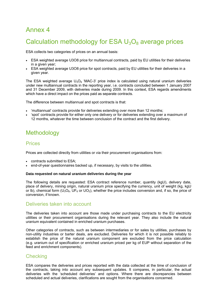# <span id="page-38-1"></span><span id="page-38-0"></span>Annex 4

# Calculation methodology for ESA  $U_3O_8$  average prices

ESA collects two categories of prices on an annual basis:

- ESA weighted average U3O8 price for multiannual contracts, paid by EU utilities for their deliveries in a given year;
- ESA weighted average U3O8 price for spot contracts, paid by EU utilities for their deliveries in a given year.

The ESA weighted average  $U_3O_8$  'MAC-3' price index is calculated using natural uranium deliveries under new multiannual contracts in the reporting year, i.e. contracts concluded between 1 January 2007 and 31 December 2009, with deliveries made during 2009. In this context, ESA regards amendments which have a direct impact on the prices paid as separate contracts.

The difference between multiannual and spot contracts is that:

- 'multiannual' contracts provide for deliveries extending over more than 12 months;
- 'spot' contracts provide for either only one delivery or for deliveries extending over a maximum of 12 months, whatever the time between conclusion of the contract and the first delivery.

# <span id="page-38-2"></span>**Methodology**

#### <span id="page-38-3"></span>Prices

Prices are collected directly from utilities or via their procurement organisations from:

- contracts submitted to ESA;
- end-of-year questionnaires backed up, if necessary, by visits to the utilities.

#### **Data requested on natural uranium deliveries during the year**

The following details are requested: ESA contract reference number, quantity (kgU), delivery date, place of delivery, mining origin, natural uranium price specifying the currency, unit of weight (kg, kgU or lb), chemical form ( $U_3O_8$ ,  $UF_6$  or  $UO_2$ ), whether the price includes conversion and, if so, the price of conversion, if known.

#### <span id="page-38-4"></span>Deliveries taken into account

The deliveries taken into account are those made under purchasing contracts to the EU electricity utilities or their procurement organisations during the relevant year. They also include the natural uranium equivalent contained in enriched uranium purchases.

Other categories of contracts, such as between intermediaries or for sales by utilities, purchases by non-utility industries or barter deals, are excluded. Deliveries for which it is not possible reliably to establish the price of the natural uranium component are excluded from the price calculation (e.g. uranium out of specification or enriched uranium priced per kg of EUP without separation of the feed and enrichment components).

#### <span id="page-38-5"></span>**Checking**

ESA compares the deliveries and prices reported with the data collected at the time of conclusion of the contracts, taking into account any subsequent updates. It compares, in particular, the actual deliveries with the 'scheduled deliveries' and options. Where there are discrepancies between scheduled and actual deliveries, clarifications are sought from the organisations concerned.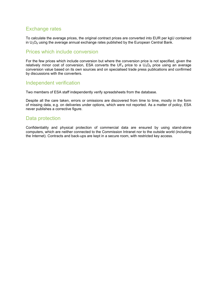### <span id="page-39-0"></span>Exchange rates

To calculate the average prices, the original contract prices are converted into EUR per kgU contained in  $U_3O_8$  using the average annual exchange rates published by the European Central Bank.

#### <span id="page-39-1"></span>Prices which include conversion

For the few prices which include conversion but where the conversion price is not specified, given the relatively minor cost of conversion, ESA converts the UF<sub>6</sub> price to a  $U_3O_8$  price using an average conversion value based on its own sources and on specialised trade press publications and confirmed by discussions with the converters.

#### <span id="page-39-2"></span>Independent verification

Two members of ESA staff independently verify spreadsheets from the database.

Despite all the care taken, errors or omissions are discovered from time to time, mostly in the form of missing data, e.g. on deliveries under options, which were not reported. As a matter of policy, ESA never publishes a corrective figure.

#### <span id="page-39-3"></span>Data protection

Confidentiality and physical protection of commercial data are ensured by using stand-alone computers, which are neither connected to the Commission Intranet nor to the outside world (including the Internet). Contracts and back-ups are kept in a secure room, with restricted key access.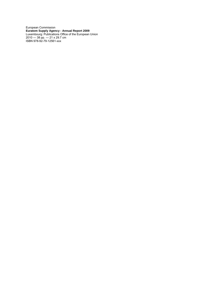European Commission **Euratom Supply Agency - Annual Report 2009** Luxembourg: Publications Office of the European Union 2010 — 38 pp. — 21 x 29.7 cm ISBN 978-92-79-12561-xxx